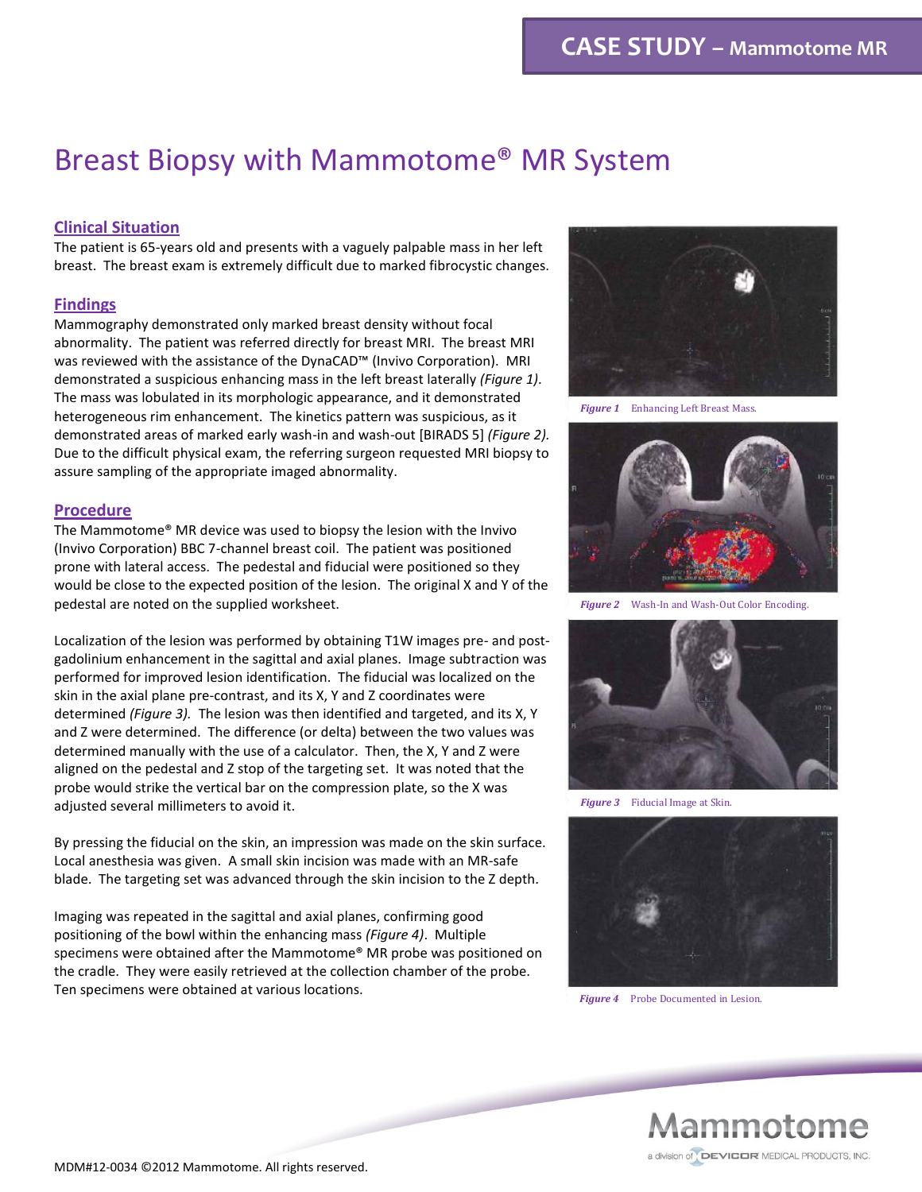# Breast Biopsy with Mammotome® MR System

## **Clinical Situation**

The patient is 65-years old and presents with a vaguely palpable mass in her left breast. The breast exam is extremely difficult due to marked fibrocystic changes.

### **Findings**

Mammography demonstrated only marked breast density without focal abnormality. The patient was referred directly for breast MRI. The breast MRI was reviewed with the assistance of the DynaCAD™ (Invivo Corporation). MRI demonstrated a suspicious enhancing mass in the left breast laterally *(Figure 1)*. The mass was lobulated in its morphologic appearance, and it demonstrated heterogeneous rim enhancement. The kinetics pattern was suspicious, as it demonstrated areas of marked early wash-in and wash-out [BIRADS 5] *(Figure 2).* Due to the difficult physical exam, the referring surgeon requested MRI biopsy to assure sampling of the appropriate imaged abnormality.

#### **Procedure**

The Mammotome® MR device was used to biopsy the lesion with the Invivo (Invivo Corporation) BBC 7-channel breast coil. The patient was positioned prone with lateral access. The pedestal and fiducial were positioned so they would be close to the expected position of the lesion. The original X and Y of the pedestal are noted on the supplied worksheet.

Localization of the lesion was performed by obtaining T1W images pre- and postgadolinium enhancement in the sagittal and axial planes. Image subtraction was performed for improved lesion identification. The fiducial was localized on the skin in the axial plane pre-contrast, and its X, Y and Z coordinates were determined *(Figure 3).* The lesion was then identified and targeted, and its X, Y and Z were determined. The difference (or delta) between the two values was determined manually with the use of a calculator. Then, the X, Y and Z were aligned on the pedestal and Z stop of the targeting set. It was noted that the probe would strike the vertical bar on the compression plate, so the X was adjusted several millimeters to avoid it.

By pressing the fiducial on the skin, an impression was made on the skin surface. Local anesthesia was given. A small skin incision was made with an MR-safe blade. The targeting set was advanced through the skin incision to the Z depth.

Imaging was repeated in the sagittal and axial planes, confirming good positioning of the bowl within the enhancing mass *(Figure 4)*. Multiple specimens were obtained after the Mammotome® MR probe was positioned on the cradle. They were easily retrieved at the collection chamber of the probe. Ten specimens were obtained at various locations.



*Figure 1* Enhancing Left Breast Mass.



*Figure 2* Wash-In and Wash-Out Color Encoding.



*Figure 3* Fiducial Image at Skin.



*Figure 4* Probe Documented in Lesion.

Mammotome a division of DEVICOR MEDICAL PRODUCTS, INC.